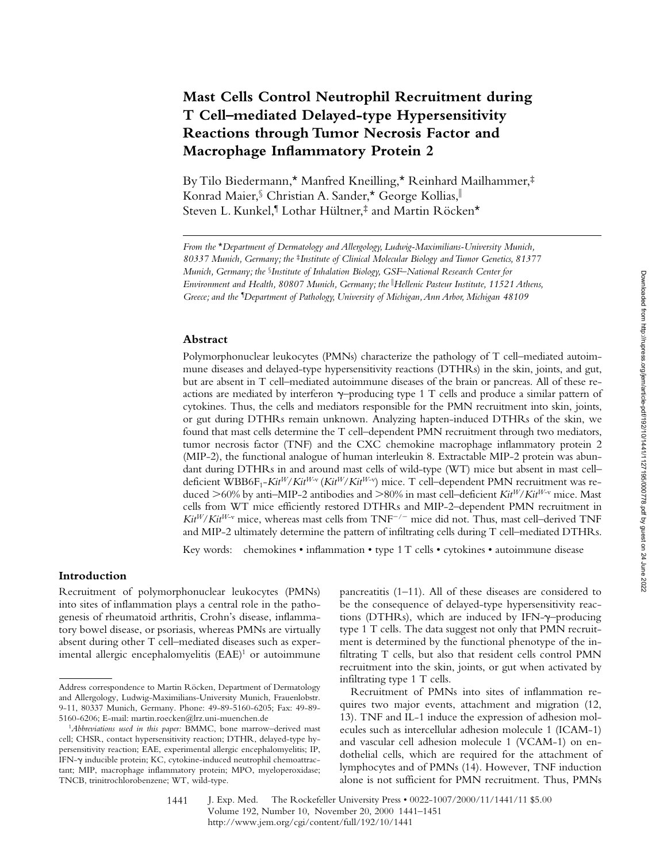# **Mast Cells Control Neutrophil Recruitment during T Cell–mediated Delayed-type Hypersensitivity Reactions through Tumor Necrosis Factor and Macrophage Inflammatory Protein 2**

By Tilo Biedermann,\* Manfred Kneilling,\* Reinhard Mailhammer,‡ Konrad Maier, Christian A. Sander,\* George Kollias, Steven L. Kunkel,¶ Lothar Hültner,‡ and Martin Röcken\*

### **Abstract**

Polymorphonuclear leukocytes (PMNs) characterize the pathology of T cell–mediated autoimmune diseases and delayed-type hypersensitivity reactions (DTHRs) in the skin, joints, and gut, but are absent in T cell–mediated autoimmune diseases of the brain or pancreas. All of these reactions are mediated by interferon  $\gamma$ –producing type 1 T cells and produce a similar pattern of cytokines. Thus, the cells and mediators responsible for the PMN recruitment into skin, joints, or gut during DTHRs remain unknown. Analyzing hapten-induced DTHRs of the skin, we found that mast cells determine the T cell–dependent PMN recruitment through two mediators, tumor necrosis factor (TNF) and the CXC chemokine macrophage inflammatory protein 2 (MIP-2), the functional analogue of human interleukin 8. Extractable MIP-2 protein was abundant during DTHRs in and around mast cells of wild-type (WT) mice but absent in mast cell– deficient WBB6F<sub>1</sub>-Kit<sup>W</sup>/*Kit<sup>W</sup>*·v (Kit<sup>W</sup>/*Kit<sup>W-v</sup>*) mice. T cell-dependent PMN recruitment was reduced  $>$ 60% by anti–MIP-2 antibodies and  $>$ 80% in mast cell–deficient *Kit<sup>W</sup>/Kit<sup>W-v</sup>* mice. Mast cells from WT mice efficiently restored DTHRs and MIP-2–dependent PMN recruitment in  $Kit^{W}/Kit^{W-v}$  mice, whereas mast cells from TNF<sup>-/-</sup> mice did not. Thus, mast cell-derived TNF and MIP-2 ultimately determine the pattern of infiltrating cells during T cell–mediated DTHRs.

Key words: chemokines • inflammation • type 1 T cells • cytokines • autoimmune disease

## **Introduction**

Recruitment of polymorphonuclear leukocytes (PMNs) into sites of inflammation plays a central role in the pathogenesis of rheumatoid arthritis, Crohn's disease, inflammatory bowel disease, or psoriasis, whereas PMNs are virtually absent during other T cell–mediated diseases such as experimental allergic encephalomyelitis (EAE)<sup>1</sup> or autoimmune pancreatitis (1–11). All of these diseases are considered to be the consequence of delayed-type hypersensitivity reactions (DTHRs), which are induced by IFN- $\gamma$ -producing type 1 T cells. The data suggest not only that PMN recruitment is determined by the functional phenotype of the infiltrating T cells, but also that resident cells control PMN recruitment into the skin, joints, or gut when activated by infiltrating type 1 T cells.

Recruitment of PMNs into sites of inflammation requires two major events, attachment and migration (12, 13). TNF and IL-1 induce the expression of adhesion molecules such as intercellular adhesion molecule 1 (ICAM-1) and vascular cell adhesion molecule 1 (VCAM-1) on endothelial cells, which are required for the attachment of lymphocytes and of PMNs (14). However, TNF induction alone is not sufficient for PMN recruitment. Thus, PMNs

*From the* \**Department of Dermatology and Allergology, Ludwig-Maximilians-University Munich, 80337 Munich, Germany; the* ‡*Institute of Clinical Molecular Biology and Tumor Genetics, 81377 Munich, Germany; the* §*Institute of Inhalation Biology, GSF–National Research Center for Environment and Health, 80807 Munich, Germany; the* <sup>i</sup> *Hellenic Pasteur Institute, 11521 Athens, Greece; and the ¶ Department of Pathology, University of Michigan, Ann Arbor, Michigan 48109*

Address correspondence to Martin Röcken, Department of Dermatology and Allergology, Ludwig-Maximilians-University Munich, Frauenlobstr. 9-11, 80337 Munich, Germany. Phone: 49-89-5160-6205; Fax: 49-89- 5160-6206; E-mail: martin.roecken@lrz.uni-muenchen.de

<sup>1</sup>*Abbreviations used in this paper:* BMMC, bone marrow–derived mast cell; CHSR, contact hypersensitivity reaction; DTHR, delayed-type hypersensitivity reaction; EAE, experimental allergic encephalomyelitis; IP, IFN-g inducible protein; KC, cytokine-induced neutrophil chemoattractant; MIP, macrophage inflammatory protein; MPO, myeloperoxidase; TNCB, trinitrochlorobenzene; WT, wild-type.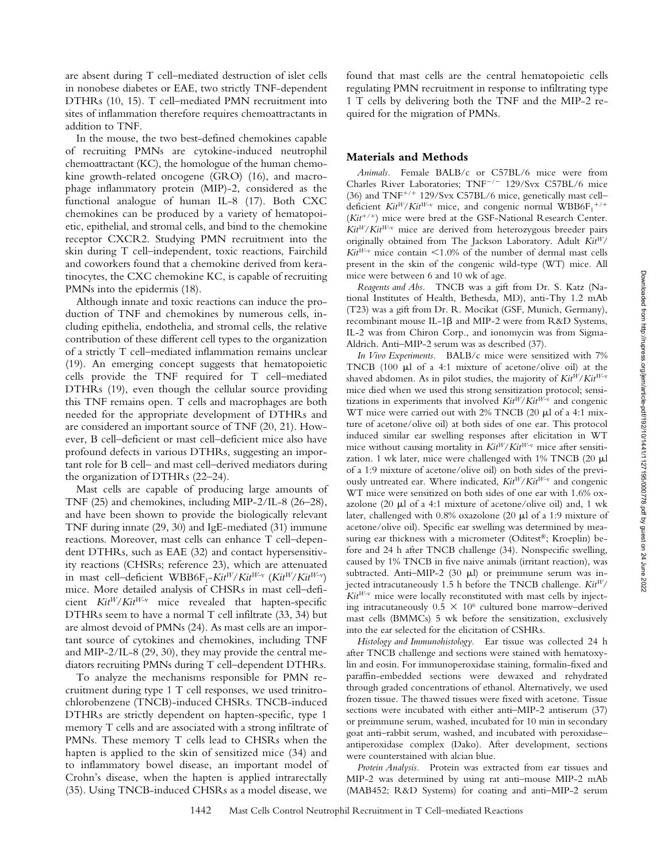are absent during T cell–mediated destruction of islet cells in nonobese diabetes or EAE, two strictly TNF-dependent DTHRs (10, 15). T cell–mediated PMN recruitment into sites of inflammation therefore requires chemoattractants in addition to TNF.

In the mouse, the two best-defined chemokines capable of recruiting PMNs are cytokine-induced neutrophil chemoattractant (KC), the homologue of the human chemokine growth-related oncogene (GRO) (16), and macrophage inflammatory protein (MIP)-2, considered as the functional analogue of human IL-8 (17). Both CXC chemokines can be produced by a variety of hematopoietic, epithelial, and stromal cells, and bind to the chemokine receptor CXCR2. Studying PMN recruitment into the skin during T cell–independent, toxic reactions, Fairchild and coworkers found that a chemokine derived from keratinocytes, the CXC chemokine KC, is capable of recruiting PMNs into the epidermis (18).

Although innate and toxic reactions can induce the production of TNF and chemokines by numerous cells, including epithelia, endothelia, and stromal cells, the relative contribution of these different cell types to the organization of a strictly T cell–mediated inflammation remains unclear (19). An emerging concept suggests that hematopoietic cells provide the TNF required for T cell–mediated DTHRs (19), even though the cellular source providing this TNF remains open. T cells and macrophages are both needed for the appropriate development of DTHRs and are considered an important source of TNF (20, 21). However, B cell–deficient or mast cell–deficient mice also have profound defects in various DTHRs, suggesting an important role for B cell– and mast cell–derived mediators during the organization of DTHRs (22–24).

Mast cells are capable of producing large amounts of TNF (25) and chemokines, including MIP-2/IL-8 (26–28), and have been shown to provide the biologically relevant TNF during innate (29, 30) and IgE-mediated (31) immune reactions. Moreover, mast cells can enhance T cell–dependent DTHRs, such as EAE (32) and contact hypersensitivity reactions (CHSRs; reference 23), which are attenuated in mast cell–deficient WBB6F<sub>1</sub>-*Kit<sup>W</sup>/Kit<sup>W-v</sup> (Kit<sup>W</sup>/Kit<sup>W-v</sup>)* mice. More detailed analysis of CHSRs in mast cell–deficient *KitW*/*KitW*-v mice revealed that hapten-specific DTHRs seem to have a normal T cell infiltrate (33, 34) but are almost devoid of PMNs (24). As mast cells are an important source of cytokines and chemokines, including TNF and MIP-2/IL-8 (29, 30), they may provide the central mediators recruiting PMNs during T cell–dependent DTHRs.

To analyze the mechanisms responsible for PMN recruitment during type 1 T cell responses, we used trinitrochlorobenzene (TNCB)-induced CHSRs. TNCB-induced DTHRs are strictly dependent on hapten-specific, type 1 memory T cells and are associated with a strong infiltrate of PMNs. These memory T cells lead to CHSRs when the hapten is applied to the skin of sensitized mice (34) and to inflammatory bowel disease, an important model of Crohn's disease, when the hapten is applied intrarectally (35). Using TNCB-induced CHSRs as a model disease, we

found that mast cells are the central hematopoietic cells regulating PMN recruitment in response to infiltrating type 1 T cells by delivering both the TNF and the MIP-2 required for the migration of PMNs.

### **Materials and Methods**

*Animals.* Female BALB/c or C57BL/6 mice were from Charles River Laboratories; TNF<sup>-/-</sup> 129/Svx C57BL/6 mice (36) and  $TNF^{+/+}$  129/Svx C57BL/6 mice, genetically mast celldeficient  $\textit{Kit}^W/\textit{Kit}^{W\text{-v}}$  mice, and congenic normal  $\textit{WBB6F}_1$ <sup>+/+</sup>  $(Kit^{+/+})$  mice were bred at the GSF-National Research Center.  $Kit^{W}/Kit^{W-v}$  mice are derived from heterozygous breeder pairs originally obtained from The Jackson Laboratory. Adult *KitW*/  $Kit^{W-v}$  mice contain  $\leq 1.0\%$  of the number of dermal mast cells present in the skin of the congenic wild-type (WT) mice. All mice were between 6 and 10 wk of age.

*Reagents and Abs.* TNCB was a gift from Dr. S. Katz (National Institutes of Health, Bethesda, MD), anti-Thy 1.2 mAb (T23) was a gift from Dr. R. Mocikat (GSF, Munich, Germany), recombinant mouse IL-1 $\beta$  and MIP-2 were from R&D Systems, IL-2 was from Chiron Corp., and ionomycin was from Sigma-Aldrich. Anti–MIP-2 serum was as described (37).

*In Vivo Experiments.* BALB/c mice were sensitized with 7% TNCB  $(100 \mu l)$  of a 4:1 mixture of acetone/olive oil) at the shaved abdomen. As in pilot studies, the majority of *KitW*/*KitW*-v mice died when we used this strong sensitization protocol; sensitizations in experiments that involved  $Kit^{W}/Kit^{W-v}$  and congenic WT mice were carried out with  $2\%$  TNCB (20  $\mu$ l of a 4:1 mixture of acetone/olive oil) at both sides of one ear. This protocol induced similar ear swelling responses after elicitation in WT mice without causing mortality in *KitW*/*KitW*-v mice after sensitization. 1 wk later, mice were challenged with 1% TNCB (20 ml of a 1:9 mixture of acetone/olive oil) on both sides of the previously untreated ear. Where indicated, *KitW*/*KitW*-v and congenic WT mice were sensitized on both sides of one ear with 1.6% oxazolone (20  $\mu$ l of a 4:1 mixture of acetone/olive oil) and, 1 wk later, challenged with 0.8% oxazolone (20 ml of a 1:9 mixture of acetone/olive oil). Specific ear swelling was determined by measuring ear thickness with a micrometer (Oditest®; Kroeplin) before and 24 h after TNCB challenge (34). Nonspecific swelling, caused by 1% TNCB in five naive animals (irritant reaction), was subtracted. Anti-MIP-2 (30  $\mu$ l) or preimmune serum was injected intracutaneously 1.5 h before the TNCB challenge. *KitW*/ *KitW*-v mice were locally reconstituted with mast cells by injecting intracutaneously  $0.5 \times 10^6$  cultured bone marrow–derived mast cells (BMMCs) 5 wk before the sensitization, exclusively into the ear selected for the elicitation of CSHRs.

*Histology and Immunohistology.* Ear tissue was collected 24 h after TNCB challenge and sections were stained with hematoxylin and eosin. For immunoperoxidase staining, formalin-fixed and paraffin-embedded sections were dewaxed and rehydrated through graded concentrations of ethanol. Alternatively, we used frozen tissue. The thawed tissues were fixed with acetone. Tissue sections were incubated with either anti–MIP-2 antiserum (37) or preimmune serum, washed, incubated for 10 min in secondary goat anti–rabbit serum, washed, and incubated with peroxidase– antiperoxidase complex (Dako). After development, sections were counterstained with alcian blue.

*Protein Analysis.* Protein was extracted from ear tissues and MIP-2 was determined by using rat anti–mouse MIP-2 mAb (MAB452; R&D Systems) for coating and anti–MIP-2 serum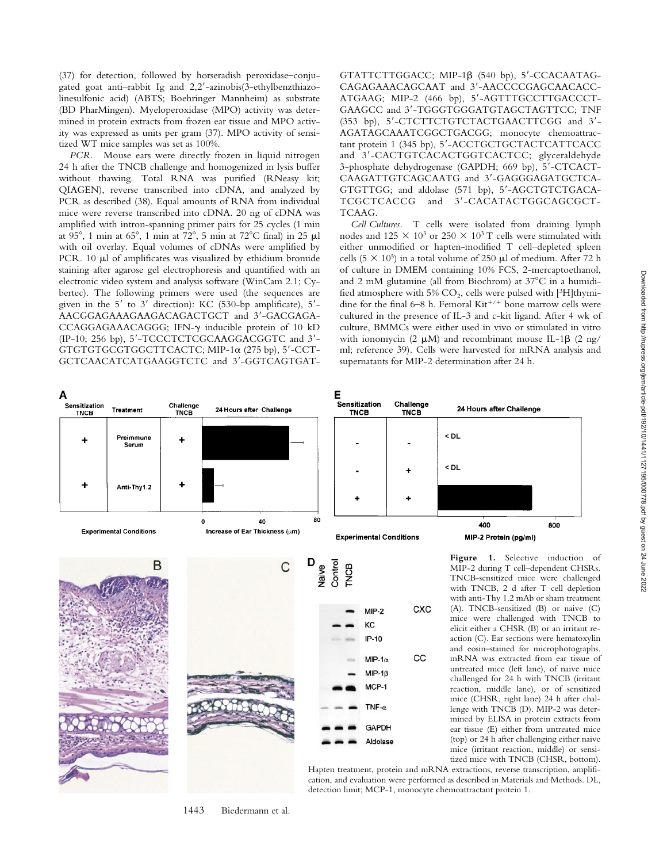(37) for detection, followed by horseradish peroxidase–conjugated goat anti-rabbit Ig and 2,2'-azinobis(3-ethylbenzthiazolinesulfonic acid) (ABTS; Boehringer Mannheim) as substrate (BD PharMingen). Myeloperoxidase (MPO) activity was determined in protein extracts from frozen ear tissue and MPO activity was expressed as units per gram (37). MPO activity of sensitized WT mice samples was set as 100%.

*PCR.* Mouse ears were directly frozen in liquid nitrogen 24 h after the TNCB challenge and homogenized in lysis buffer without thawing. Total RNA was purified (RNeasy kit; QIAGEN), reverse transcribed into cDNA, and analyzed by PCR as described (38). Equal amounts of RNA from individual mice were reverse transcribed into cDNA. 20 ng of cDNA was amplified with intron-spanning primer pairs for 25 cycles (1 min at  $95^\circ$ , 1 min at  $65^\circ$ , 1 min at  $72^\circ$ , 5 min at  $72^\circ$ C final) in 25 µl with oil overlay. Equal volumes of cDNAs were amplified by PCR. 10  $\mu$ l of amplificates was visualized by ethidium bromide staining after agarose gel electrophoresis and quantified with an electronic video system and analysis software (WinCam 2.1; Cybertec). The following primers were used (the sequences are given in the  $5'$  to  $3'$  direction): KC (530-bp amplificate),  $5'$ -AACGGAGAAAGAAGACAGACTGCT and 3'-GACGAGA-CCAGGAGAAACAGGG; IFN-g inducible protein of 10 kD (IP-10; 256 bp), 5'-TCCCTCTCGCAAGGACGGTC and 3'-GTGTGTGCGTGGCTTCACTC; MIP-1 $\alpha$  (275 bp), 5'-CCT-GCTCAACATCATGAAGGTCTC and 3'-GGTCAGTGAT- GTATTCTTGGACC; MIP-1 $\beta$  (540 bp), 5'-CCACAATAG-CAGAGAAACAGCAAT and 3'-AACCCCGAGCAACACC-ATGAAG; MIP-2 (466 bp), 5'-AGTTTGCCTTGACCCT-GAAGCC and 3'-TGGGTGGGATGTAGCTAGTTCC; TNF (353 bp), 5'-CTCTTCTGTCTACTGAACTTCGG and 3'-AGATAGCAAATCGGCTGACGG; monocyte chemoattractant protein 1 (345 bp), 5'-ACCTGCTGCTACTCATTCACC and 3'-CACTGTCACACTGGTCACTCC; glyceraldehyde 3-phosphate dehydrogenase (GAPDH; 669 bp), 5'-CTCACT-CAAGATTGTCAGCAATG and 3'-GAGGGAGATGCTCA-GTGTTGG; and aldolase (571 bp), 5'-AGCTGTCTGACA-TCGCTCACCG and 3'-CACATACTGGCAGCGCT-TCAAG.

*Cell Cultures.* T cells were isolated from draining lymph nodes and  $125 \times 10^3$  or  $250 \times 10^3$  T cells were stimulated with either unmodified or hapten-modified T cell–depleted spleen cells (5  $\times$  10<sup>5</sup>) in a total volume of 250 µl of medium. After 72 h of culture in DMEM containing 10% FCS, 2-mercaptoethanol, and 2 mM glutamine (all from Biochrom) at  $37^{\circ}$ C in a humidified atmosphere with 5%  $CO<sub>2</sub>$ , cells were pulsed with [3H]thymidine for the final 6–8 h. Femoral  $\mathrm{Kit}^{+/+}$  bone marrow cells were cultured in the presence of IL-3 and c-kit ligand. After 4 wk of culture, BMMCs were either used in vivo or stimulated in vitro with ionomycin (2  $\mu$ M) and recombinant mouse IL-1 $\beta$  (2 ng/ ml; reference 39). Cells were harvested for mRNA analysis and supernatants for MIP-2 determination after 24 h.



Hapten treatment, protein and mRNA extractions, reverse transcription, amplification, and evaluation were performed as described in Materials and Methods. DL, detection limit; MCP-1, monocyte chemoattractant protein 1.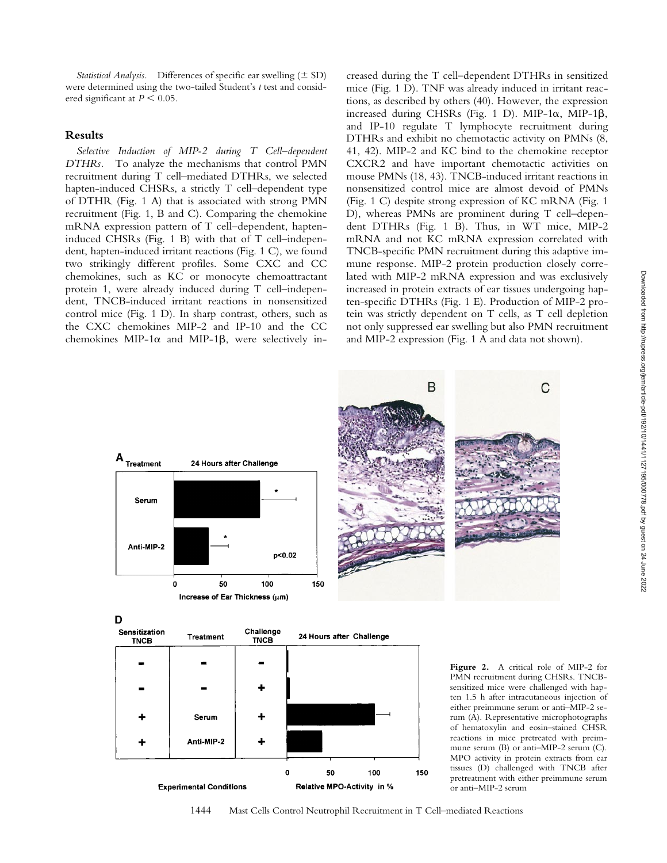*Statistical Analysis.* Differences of specific ear swelling  $(\pm SD)$ were determined using the two-tailed Student's *t* test and considered significant at  $P \leq 0.05$ .

### **Results**

*Selective Induction of MIP-2 during T Cell–dependent DTHRs.* To analyze the mechanisms that control PMN recruitment during T cell–mediated DTHRs, we selected hapten-induced CHSRs, a strictly T cell–dependent type of DTHR (Fig. 1 A) that is associated with strong PMN recruitment (Fig. 1, B and C). Comparing the chemokine mRNA expression pattern of T cell–dependent, hapteninduced CHSRs (Fig. 1 B) with that of T cell–independent, hapten-induced irritant reactions (Fig. 1 C), we found two strikingly different profiles. Some CXC and CC chemokines, such as KC or monocyte chemoattractant protein 1, were already induced during T cell–independent, TNCB-induced irritant reactions in nonsensitized control mice (Fig. 1 D). In sharp contrast, others, such as the CXC chemokines MIP-2 and IP-10 and the CC chemokines MIP-1 $\alpha$  and MIP-1 $\beta$ , were selectively in-

creased during the T cell–dependent DTHRs in sensitized mice (Fig. 1 D). TNF was already induced in irritant reactions, as described by others (40). However, the expression increased during CHSRs (Fig. 1 D). MIP-1 $\alpha$ , MIP-1 $\beta$ , and IP-10 regulate T lymphocyte recruitment during DTHRs and exhibit no chemotactic activity on PMNs (8, 41, 42). MIP-2 and KC bind to the chemokine receptor CXCR2 and have important chemotactic activities on mouse PMNs (18, 43). TNCB-induced irritant reactions in nonsensitized control mice are almost devoid of PMNs (Fig. 1 C) despite strong expression of KC mRNA (Fig. 1 D), whereas PMNs are prominent during T cell–dependent DTHRs (Fig. 1 B). Thus, in WT mice, MIP-2 mRNA and not KC mRNA expression correlated with TNCB-specific PMN recruitment during this adaptive immune response. MIP-2 protein production closely correlated with MIP-2 mRNA expression and was exclusively increased in protein extracts of ear tissues undergoing hapten-specific DTHRs (Fig. 1 E). Production of MIP-2 protein was strictly dependent on T cells, as T cell depletion not only suppressed ear swelling but also PMN recruitment and MIP-2 expression (Fig. 1 A and data not shown).





**Figure 2.** A critical role of MIP-2 for PMN recruitment during CHSRs. TNCBsensitized mice were challenged with hapten 1.5 h after intracutaneous injection of either preimmune serum or anti–MIP-2 serum (A). Representative microphotographs of hematoxylin and eosin–stained CHSR reactions in mice pretreated with preimmune serum (B) or anti–MIP-2 serum (C). MPO activity in protein extracts from ear tissues (D) challenged with TNCB after pretreatment with either preimmune serum or anti–MIP-2 serum

1444 Mast Cells Control Neutrophil Recruitment in T Cell–mediated Reactions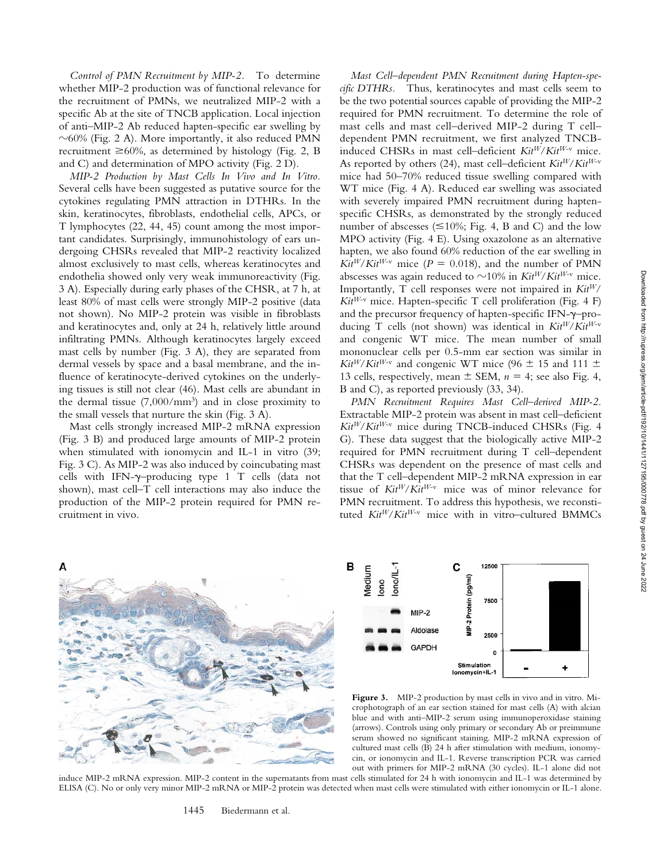*Control of PMN Recruitment by MIP-2.* To determine whether MIP-2 production was of functional relevance for the recruitment of PMNs, we neutralized MIP-2 with a specific Ab at the site of TNCB application. Local injection of anti–MIP-2 Ab reduced hapten-specific ear swelling by  $\sim$  60% (Fig. 2 A). More importantly, it also reduced PMN recruitment  $\geq 60\%$ , as determined by histology (Fig. 2, B) and C) and determination of MPO activity (Fig. 2 D).

*MIP-2 Production by Mast Cells In Vivo and In Vitro.* Several cells have been suggested as putative source for the cytokines regulating PMN attraction in DTHRs. In the skin, keratinocytes, fibroblasts, endothelial cells, APCs, or T lymphocytes (22, 44, 45) count among the most important candidates. Surprisingly, immunohistology of ears undergoing CHSRs revealed that MIP-2 reactivity localized almost exclusively to mast cells, whereas keratinocytes and endothelia showed only very weak immunoreactivity (Fig. 3 A). Especially during early phases of the CHSR, at 7 h, at least 80% of mast cells were strongly MIP-2 positive (data not shown). No MIP-2 protein was visible in fibroblasts and keratinocytes and, only at 24 h, relatively little around infiltrating PMNs. Although keratinocytes largely exceed mast cells by number (Fig. 3 A), they are separated from dermal vessels by space and a basal membrane, and the influence of keratinocyte-derived cytokines on the underlying tissues is still not clear (46). Mast cells are abundant in the dermal tissue  $(7,000/\text{mm}^3)$  and in close proximity to the small vessels that nurture the skin (Fig. 3 A).

Mast cells strongly increased MIP-2 mRNA expression (Fig. 3 B) and produced large amounts of MIP-2 protein when stimulated with ionomycin and IL-1 in vitro (39; Fig. 3 C). As MIP-2 was also induced by coincubating mast cells with IFN- $\gamma$ -producing type 1 T cells (data not shown), mast cell–T cell interactions may also induce the production of the MIP-2 protein required for PMN recruitment in vivo.

Δ

*Mast Cell–dependent PMN Recruitment during Hapten-specific DTHRs.* Thus, keratinocytes and mast cells seem to be the two potential sources capable of providing the MIP-2 required for PMN recruitment. To determine the role of mast cells and mast cell–derived MIP-2 during T cell– dependent PMN recruitment, we first analyzed TNCBinduced CHSRs in mast cell–deficient *KitW*/*KitW*-v mice. As reported by others (24), mast cell–deficient *KitW*/*KitW*-v mice had 50–70% reduced tissue swelling compared with WT mice (Fig. 4 A). Reduced ear swelling was associated with severely impaired PMN recruitment during haptenspecific CHSRs, as demonstrated by the strongly reduced number of abscesses ( $\leq 10\%$ ; Fig. 4, B and C) and the low MPO activity (Fig. 4 E). Using oxazolone as an alternative hapten, we also found 60% reduction of the ear swelling in  $\hat{Kit}^{W}/Kit^{W-v}$  mice ( $P = 0.018$ ), and the number of PMN abscesses was again reduced to  $\sim$ 10% in *Kit<sup>W</sup>*/*Kit<sup>W-v</sup>* mice. Importantly, T cell responses were not impaired in *KitW*/  $Kit^{W-v}$  mice. Hapten-specific T cell proliferation (Fig. 4 F) and the precursor frequency of hapten-specific IFN- $\gamma$ -producing T cells (not shown) was identical in *KitW*/*KitW*-v and congenic WT mice. The mean number of small mononuclear cells per 0.5-mm ear section was similar in  $Kit^{W}/Kit^{W-v}$  and congenic WT mice (96  $\pm$  15 and 111  $\pm$ 13 cells, respectively, mean  $\pm$  SEM,  $n = 4$ ; see also Fig. 4, B and C), as reported previously (33, 34).

*PMN Recruitment Requires Mast Cell–derived MIP-2.* Extractable MIP-2 protein was absent in mast cell–deficient *KitW*/*KitW*-v mice during TNCB-induced CHSRs (Fig. 4 G). These data suggest that the biologically active MIP-2 required for PMN recruitment during T cell–dependent CHSRs was dependent on the presence of mast cells and that the T cell–dependent MIP-2 mRNA expression in ear tissue of *KitW*/*KitW*-v mice was of minor relevance for PMN recruitment. To address this hypothesis, we reconstituted *KitW*/*KitW*-v mice with in vitro*–*cultured BMMCs



Figure 3. MIP-2 production by mast cells in vivo and in vitro. Microphotograph of an ear section stained for mast cells (A) with alcian blue and with anti–MIP-2 serum using immunoperoxidase staining (arrows). Controls using only primary or secondary Ab or preimmune serum showed no significant staining. MIP-2 mRNA expression of cultured mast cells (B) 24 h after stimulation with medium, ionomycin, or ionomycin and IL-1. Reverse transcription PCR was carried out with primers for MIP-2 mRNA (30 cycles). IL-1 alone did not

induce MIP-2 mRNA expression. MIP-2 content in the supernatants from mast cells stimulated for 24 h with ionomycin and IL-1 was determined by ELISA (C). No or only very minor MIP-2 mRNA or MIP-2 protein was detected when mast cells were stimulated with either ionomycin or IL-1 alone.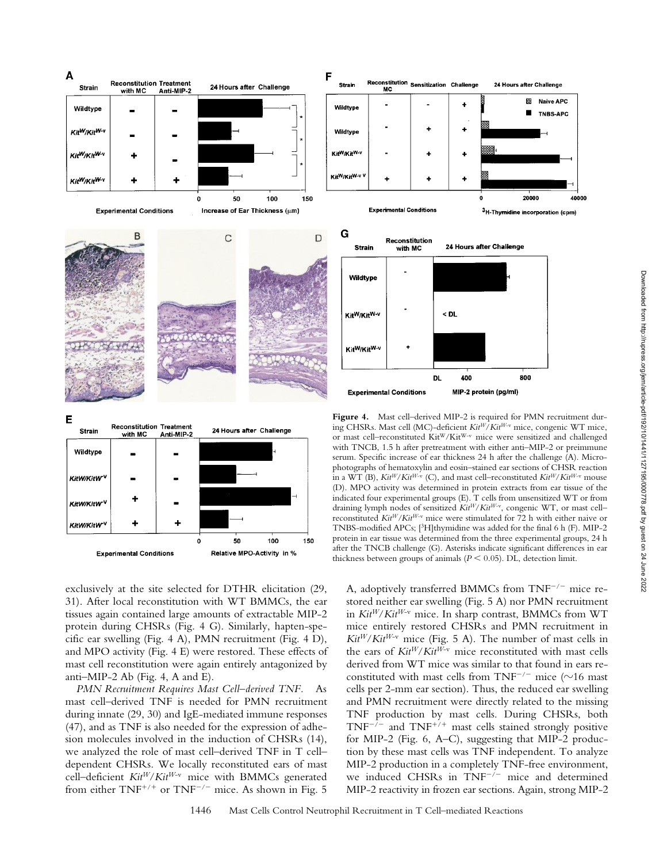40000





exclusively at the site selected for DTHR elicitation (29, 31). After local reconstitution with WT BMMCs, the ear tissues again contained large amounts of extractable MIP-2 protein during CHSRs (Fig. 4 G). Similarly, hapten-specific ear swelling (Fig. 4 A), PMN recruitment (Fig. 4 D), and MPO activity (Fig. 4 E) were restored. These effects of mast cell reconstitution were again entirely antagonized by anti–MIP-2 Ab (Fig. 4, A and E).

*PMN Recruitment Requires Mast Cell–derived TNF.* As mast cell–derived TNF is needed for PMN recruitment during innate (29, 30) and IgE-mediated immune responses (47), and as TNF is also needed for the expression of adhesion molecules involved in the induction of CHSRs (14), we analyzed the role of mast cell–derived TNF in T cell– dependent CHSRs. We locally reconstituted ears of mast cell–deficient *KitW*/*KitW*-v mice with BMMCs generated from either  $TNF^{+/+}$  or  $TNF^{-/-}$  mice. As shown in Fig. 5

Figure 4. Mast cell–derived MIP-2 is required for PMN recruitment during CHSRs. Mast cell (MC)-deficient *KitW*/*KitW*-v mice, congenic WT mice, or mast cell–reconstituted KitW/KitW-v mice were sensitized and challenged with TNCB, 1.5 h after pretreatment with either anti–MIP-2 or preimmune serum. Specific increase of ear thickness 24 h after the challenge (A). Microphotographs of hematoxylin and eosin–stained ear sections of CHSR reaction in a WT (B),  $Kit^{W}/Kit^{W-v}$  (C), and mast cell–reconstituted  $Kit^{W}/Kit^{W-v}$  mouse (D). MPO activity was determined in protein extracts from ear tissue of the indicated four experimental groups (E). T cells from unsensitized WT or from draining lymph nodes of sensitized  $Kit^{W}/Kit^{W-v}$ , congenic WT, or mast cellreconstituted *KitW/KitW*-v mice were stimulated for 72 h with either naive or TNBS-modified APCs; [3H]thymidine was added for the final 6 h (F). MIP-2 protein in ear tissue was determined from the three experimental groups, 24 h after the TNCB challenge (G). Asterisks indicate significant differences in ear thickness between groups of animals ( $P \leq 0.05$ ). DL, detection limit.

A, adoptively transferred BMMCs from  $TNF^{-/-}$  mice restored neither ear swelling (Fig. 5 A) nor PMN recruitment in *KitW*/*KitW*-v mice. In sharp contrast, BMMCs from WT mice entirely restored CHSRs and PMN recruitment in *KitW*/*KitW*-v mice (Fig. 5 A). The number of mast cells in the ears of *KitW*/*KitW*-v mice reconstituted with mast cells derived from WT mice was similar to that found in ears reconstituted with mast cells from TNF<sup> $-/-$ </sup> mice ( $\sim$ 16 mast cells per 2-mm ear section). Thus, the reduced ear swelling and PMN recruitment were directly related to the missing TNF production by mast cells. During CHSRs, both  $TNF^{-7}$  and  $TNF^{+/+}$  mast cells stained strongly positive for MIP-2 (Fig. 6, A–C), suggesting that MIP-2 production by these mast cells was TNF independent. To analyze MIP-2 production in a completely TNF-free environment, we induced CHSRs in  $TNF^{-/-}$  mice and determined MIP-2 reactivity in frozen ear sections. Again, strong MIP-2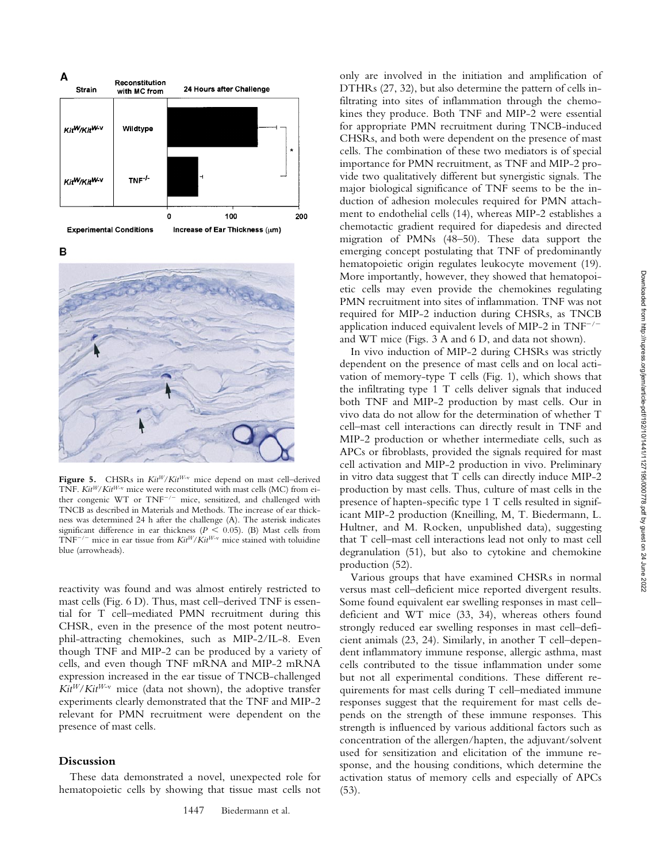Downloaded from http://rupress.org/jem/article-pdf/192/10/1441/1127195/000778.pdf by guest on 24 June 2022

Downloaded from http://rupress.org/jem/article-pdf/192/10/1441/1127195/000778.pdf by guest on 24 June 2022







Figure 5. CHSRs in  $Kit^{W}/Kit^{W-v}$  mice depend on mast cell-derived TNF. *Kit<sup>W</sup>/Kit<sup>W-v</sup>* mice were reconstituted with mast cells (MC) from either congenic  $WT$  or  $TNF^{-/-}$  mice, sensitized, and challenged with TNCB as described in Materials and Methods. The increase of ear thickness was determined 24 h after the challenge (A). The asterisk indicates significant difference in ear thickness ( $P < 0.05$ ). (B) Mast cells from  $TNF^{-/-}$  mice in ear tissue from  $Kit^{W}/Kit^{W-v}$  mice stained with toluidine blue (arrowheads).

reactivity was found and was almost entirely restricted to mast cells (Fig. 6 D). Thus, mast cell–derived TNF is essential for T cell–mediated PMN recruitment during this CHSR, even in the presence of the most potent neutrophil-attracting chemokines, such as MIP-2/IL-8. Even though TNF and MIP-2 can be produced by a variety of cells, and even though TNF mRNA and MIP-2 mRNA expression increased in the ear tissue of TNCB-challenged  $Ki<sup>W</sup>/Ki<sup>W-v</sup> mice (data not shown), the adoptive transfer$ experiments clearly demonstrated that the TNF and MIP-2 relevant for PMN recruitment were dependent on the presence of mast cells.

## **Discussion**

These data demonstrated a novel, unexpected role for hematopoietic cells by showing that tissue mast cells not

only are involved in the initiation and amplification of DTHRs (27, 32), but also determine the pattern of cells infiltrating into sites of inflammation through the chemokines they produce. Both TNF and MIP-2 were essential for appropriate PMN recruitment during TNCB-induced CHSRs, and both were dependent on the presence of mast cells. The combination of these two mediators is of special importance for PMN recruitment, as TNF and MIP-2 provide two qualitatively different but synergistic signals. The major biological significance of TNF seems to be the induction of adhesion molecules required for PMN attachment to endothelial cells (14), whereas MIP-2 establishes a chemotactic gradient required for diapedesis and directed migration of PMNs (48–50). These data support the emerging concept postulating that TNF of predominantly hematopoietic origin regulates leukocyte movement (19). More importantly, however, they showed that hematopoietic cells may even provide the chemokines regulating PMN recruitment into sites of inflammation. TNF was not required for MIP-2 induction during CHSRs, as TNCB application induced equivalent levels of MIP-2 in  $TNF^{-/-}$ and WT mice (Figs. 3 A and 6 D, and data not shown).

In vivo induction of MIP-2 during CHSRs was strictly dependent on the presence of mast cells and on local activation of memory-type T cells (Fig. 1), which shows that the infiltrating type 1 T cells deliver signals that induced both TNF and MIP-2 production by mast cells. Our in vivo data do not allow for the determination of whether T cell–mast cell interactions can directly result in TNF and MIP-2 production or whether intermediate cells, such as APCs or fibroblasts, provided the signals required for mast cell activation and MIP-2 production in vivo. Preliminary in vitro data suggest that T cells can directly induce MIP-2 production by mast cells. Thus, culture of mast cells in the presence of hapten-specific type 1 T cells resulted in significant MIP-2 production (Kneilling, M, T. Biedermann, L. Hultner, and M. Rocken, unpublished data), suggesting that T cell–mast cell interactions lead not only to mast cell degranulation (51), but also to cytokine and chemokine production (52).

Various groups that have examined CHSRs in normal versus mast cell–deficient mice reported divergent results. Some found equivalent ear swelling responses in mast cell– deficient and WT mice (33, 34), whereas others found strongly reduced ear swelling responses in mast cell–deficient animals (23, 24). Similarly, in another T cell–dependent inflammatory immune response, allergic asthma, mast cells contributed to the tissue inflammation under some but not all experimental conditions. These different requirements for mast cells during T cell–mediated immune responses suggest that the requirement for mast cells depends on the strength of these immune responses. This strength is influenced by various additional factors such as concentration of the allergen/hapten, the adjuvant/solvent used for sensitization and elicitation of the immune response, and the housing conditions, which determine the activation status of memory cells and especially of APCs (53).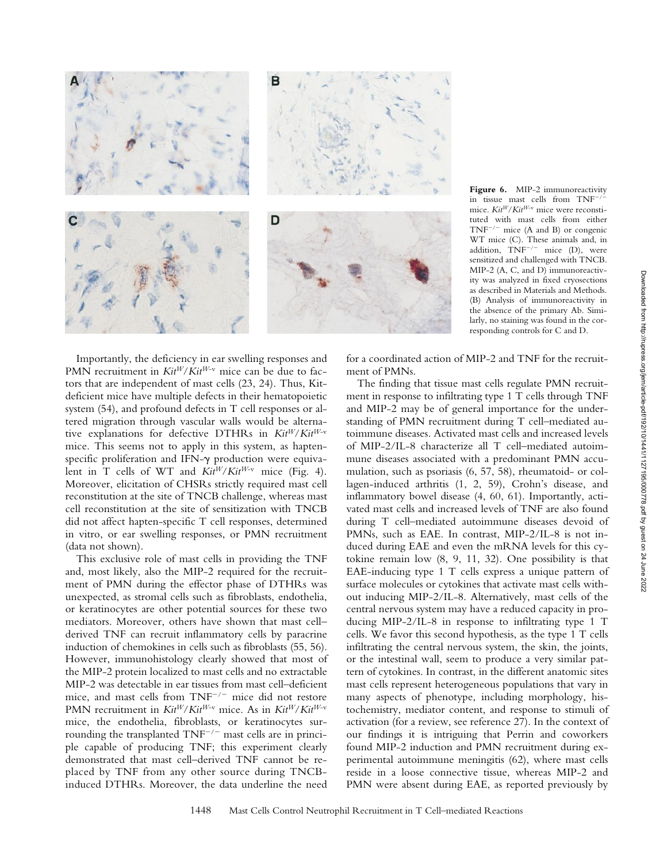

Figure 6. MIP-2 immunoreactivity in tissue mast cells from  $TNF^{-}$ mice. *KitW*/*KitW*-v mice were reconstituted with mast cells from either  $TNF^{-/-}$  mice (A and B) or congenic WT mice (C). These animals and, in addition,  $TNF^{-/-}$  mice (D), were sensitized and challenged with TNCB. MIP-2 (A, C, and D) immunoreactivity was analyzed in fixed cryosections as described in Materials and Methods. (B) Analysis of immunoreactivity in the absence of the primary Ab. Similarly, no staining was found in the corresponding controls for C and D.

Importantly, the deficiency in ear swelling responses and PMN recruitment in  $Kit^{W}/Kit^{W-v}$  mice can be due to factors that are independent of mast cells (23, 24). Thus, Kitdeficient mice have multiple defects in their hematopoietic system (54), and profound defects in T cell responses or altered migration through vascular walls would be alternative explanations for defective DTHRs in *KitW*/*KitW*-v mice. This seems not to apply in this system, as haptenspecific proliferation and IFN- $\gamma$  production were equivalent in T cells of WT and *KitW*/*KitW*-v mice (Fig. 4). Moreover, elicitation of CHSRs strictly required mast cell reconstitution at the site of TNCB challenge, whereas mast cell reconstitution at the site of sensitization with TNCB did not affect hapten-specific T cell responses, determined in vitro, or ear swelling responses, or PMN recruitment (data not shown).

This exclusive role of mast cells in providing the TNF and, most likely, also the MIP-2 required for the recruitment of PMN during the effector phase of DTHRs was unexpected, as stromal cells such as fibroblasts, endothelia, or keratinocytes are other potential sources for these two mediators. Moreover, others have shown that mast cell– derived TNF can recruit inflammatory cells by paracrine induction of chemokines in cells such as fibroblasts (55, 56). However, immunohistology clearly showed that most of the MIP-2 protein localized to mast cells and no extractable MIP-2 was detectable in ear tissues from mast cell–deficient mice, and mast cells from  $TNF^{-/-}$  mice did not restore PMN recruitment in *KitW*/*KitW*-v mice. As in *KitW*/*KitW*-v mice, the endothelia, fibroblasts, or keratinocytes surrounding the transplanted  $TNF^{-/-}$  mast cells are in principle capable of producing TNF; this experiment clearly demonstrated that mast cell–derived TNF cannot be replaced by TNF from any other source during TNCBinduced DTHRs. Moreover, the data underline the need

for a coordinated action of MIP-2 and TNF for the recruitment of PMNs.

The finding that tissue mast cells regulate PMN recruitment in response to infiltrating type 1 T cells through TNF and MIP-2 may be of general importance for the understanding of PMN recruitment during T cell–mediated autoimmune diseases. Activated mast cells and increased levels of MIP-2/IL-8 characterize all T cell–mediated autoimmune diseases associated with a predominant PMN accumulation, such as psoriasis (6, 57, 58), rheumatoid- or collagen-induced arthritis (1, 2, 59), Crohn's disease, and inflammatory bowel disease (4, 60, 61). Importantly, activated mast cells and increased levels of TNF are also found during T cell–mediated autoimmune diseases devoid of PMNs, such as EAE. In contrast, MIP-2/IL-8 is not induced during EAE and even the mRNA levels for this cytokine remain low (8, 9, 11, 32). One possibility is that EAE-inducing type 1 T cells express a unique pattern of surface molecules or cytokines that activate mast cells without inducing MIP-2/IL-8. Alternatively, mast cells of the central nervous system may have a reduced capacity in producing MIP-2/IL-8 in response to infiltrating type 1 T cells. We favor this second hypothesis, as the type 1 T cells infiltrating the central nervous system, the skin, the joints, or the intestinal wall, seem to produce a very similar pattern of cytokines. In contrast, in the different anatomic sites mast cells represent heterogeneous populations that vary in many aspects of phenotype, including morphology, histochemistry, mediator content, and response to stimuli of activation (for a review, see reference 27). In the context of our findings it is intriguing that Perrin and coworkers found MIP-2 induction and PMN recruitment during experimental autoimmune meningitis (62), where mast cells reside in a loose connective tissue, whereas MIP-2 and PMN were absent during EAE, as reported previously by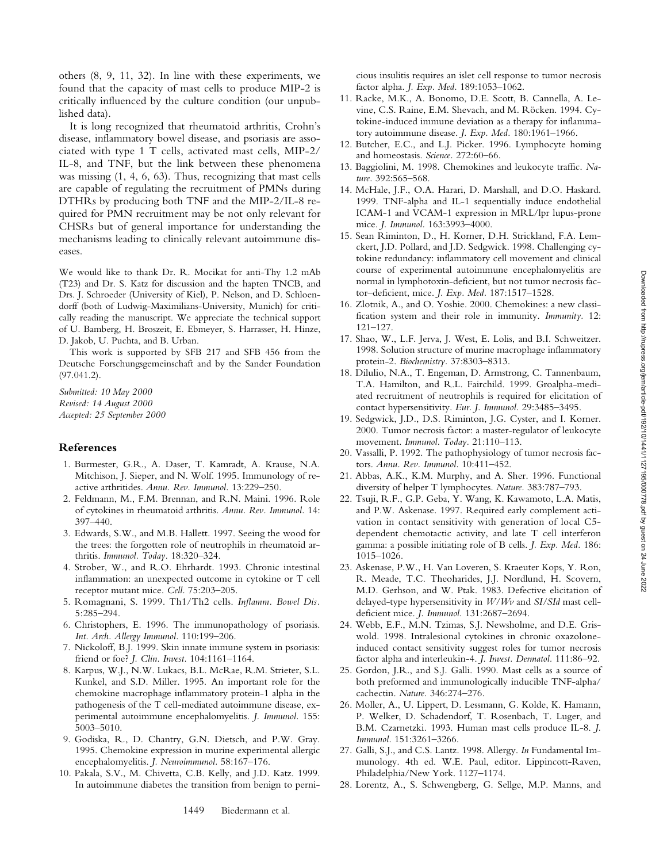others (8, 9, 11, 32). In line with these experiments, we found that the capacity of mast cells to produce MIP-2 is critically influenced by the culture condition (our unpublished data).

It is long recognized that rheumatoid arthritis, Crohn's disease, inflammatory bowel disease, and psoriasis are associated with type 1 T cells, activated mast cells, MIP-2/ IL-8, and TNF, but the link between these phenomena was missing (1, 4, 6, 63). Thus, recognizing that mast cells are capable of regulating the recruitment of PMNs during DTHRs by producing both TNF and the MIP-2/IL-8 required for PMN recruitment may be not only relevant for CHSRs but of general importance for understanding the mechanisms leading to clinically relevant autoimmune diseases.

We would like to thank Dr. R. Mocikat for anti-Thy 1.2 mAb (T23) and Dr. S. Katz for discussion and the hapten TNCB, and Drs. J. Schroeder (University of Kiel), P. Nelson, and D. Schloendorff (both of Ludwig-Maximilians-University, Munich) for critically reading the manuscript. We appreciate the technical support of U. Bamberg, H. Broszeit, E. Ebmeyer, S. Harrasser, H. Hinze, D. Jakob, U. Puchta, and B. Urban.

This work is supported by SFB 217 and SFB 456 from the Deutsche Forschungsgemeinschaft and by the Sander Foundation (97.041.2).

*Submitted: 10 May 2000 Revised: 14 August 2000 Accepted: 25 September 2000*

#### **References**

- 1. Burmester, G.R., A. Daser, T. Kamradt, A. Krause, N.A. Mitchison, J. Sieper, and N. Wolf. 1995. Immunology of reactive arthritides. *Annu. Rev. Immunol.* 13:229–250.
- 2. Feldmann, M., F.M. Brennan, and R.N. Maini. 1996. Role of cytokines in rheumatoid arthritis. *Annu. Rev. Immunol.* 14: 397–440.
- 3. Edwards, S.W., and M.B. Hallett. 1997. Seeing the wood for the trees: the forgotten role of neutrophils in rheumatoid arthritis. *Immunol. Today.* 18:320–324.
- 4. Strober, W., and R.O. Ehrhardt. 1993. Chronic intestinal inflammation: an unexpected outcome in cytokine or T cell receptor mutant mice. *Cell.* 75:203–205.
- 5. Romagnani, S. 1999. Th1/Th2 cells. *Inflamm. Bowel Dis.* 5:285–294.
- 6. Christophers, E. 1996. The immunopathology of psoriasis. *Int. Arch. Allergy Immunol.* 110:199–206.
- 7. Nickoloff, B.J. 1999. Skin innate immune system in psoriasis: friend or foe? *J. Clin. Invest.* 104:1161–1164.
- 8. Karpus, W.J., N.W. Lukacs, B.L. McRae, R.M. Strieter, S.L. Kunkel, and S.D. Miller. 1995. An important role for the chemokine macrophage inflammatory protein-1 alpha in the pathogenesis of the T cell-mediated autoimmune disease, experimental autoimmune encephalomyelitis. *J. Immunol.* 155: 5003–5010.
- 9. Godiska, R., D. Chantry, G.N. Dietsch, and P.W. Gray. 1995. Chemokine expression in murine experimental allergic encephalomyelitis. *J. Neuroimmunol.* 58:167–176.
- 10. Pakala, S.V., M. Chivetta, C.B. Kelly, and J.D. Katz. 1999. In autoimmune diabetes the transition from benign to perni-

cious insulitis requires an islet cell response to tumor necrosis factor alpha. *J. Exp. Med.* 189:1053–1062.

- 11. Racke, M.K., A. Bonomo, D.E. Scott, B. Cannella, A. Levine, C.S. Raine, E.M. Shevach, and M. Röcken. 1994. Cytokine-induced immune deviation as a therapy for inflammatory autoimmune disease. *J. Exp. Med.* 180:1961–1966.
- 12. Butcher, E.C., and L.J. Picker. 1996. Lymphocyte homing and homeostasis. *Science.* 272:60–66.
- 13. Baggiolini, M. 1998. Chemokines and leukocyte traffic. *Nature.* 392:565–568.
- 14. McHale, J.F., O.A. Harari, D. Marshall, and D.O. Haskard. 1999. TNF-alpha and IL-1 sequentially induce endothelial ICAM-1 and VCAM-1 expression in MRL/lpr lupus-prone mice. *J. Immunol.* 163:3993–4000.
- 15. Sean Riminton, D., H. Korner, D.H. Strickland, F.A. Lemckert, J.D. Pollard, and J.D. Sedgwick. 1998. Challenging cytokine redundancy: inflammatory cell movement and clinical course of experimental autoimmune encephalomyelitis are normal in lymphotoxin-deficient, but not tumor necrosis factor–deficient, mice. *J. Exp. Med.* 187:1517–1528.
- 16. Zlotnik, A., and O. Yoshie. 2000. Chemokines: a new classification system and their role in immunity. *Immunity.* 12: 121–127.
- 17. Shao, W., L.F. Jerva, J. West, E. Lolis, and B.I. Schweitzer. 1998. Solution structure of murine macrophage inflammatory protein-2. *Biochemistry.* 37:8303–8313.
- 18. Dilulio, N.A., T. Engeman, D. Armstrong, C. Tannenbaum, T.A. Hamilton, and R.L. Fairchild. 1999. Groalpha-mediated recruitment of neutrophils is required for elicitation of contact hypersensitivity. *Eur. J. Immunol.* 29:3485–3495.
- 19. Sedgwick, J.D., D.S. Riminton, J.G. Cyster, and I. Korner. 2000. Tumor necrosis factor: a master-regulator of leukocyte movement. *Immunol. Today.* 21:110–113.
- 20. Vassalli, P. 1992. The pathophysiology of tumor necrosis factors. *Annu. Rev. Immunol.* 10:411–452.
- 21. Abbas, A.K., K.M. Murphy, and A. Sher. 1996. Functional diversity of helper T lymphocytes. *Nature.* 383:787–793.
- 22. Tsuji, R.F., G.P. Geba, Y. Wang, K. Kawamoto, L.A. Matis, and P.W. Askenase. 1997. Required early complement activation in contact sensitivity with generation of local C5 dependent chemotactic activity, and late T cell interferon gamma: a possible initiating role of B cells. *J. Exp. Med.* 186: 1015–1026.
- 23. Askenase, P.W., H. Van Loveren, S. Kraeuter Kops, Y. Ron, R. Meade, T.C. Theoharides, J.J. Nordlund, H. Scovern, M.D. Gerhson, and W. Ptak. 1983. Defective elicitation of delayed-type hypersensitivity in *W/Wv* and *SI/SId* mast celldeficient mice. *J. Immunol.* 131:2687–2694.
- 24. Webb, E.F., M.N. Tzimas, S.J. Newsholme, and D.E. Griswold. 1998. Intralesional cytokines in chronic oxazoloneinduced contact sensitivity suggest roles for tumor necrosis factor alpha and interleukin-4. *J. Invest. Dermatol.* 111:86–92.
- 25. Gordon, J.R., and S.J. Galli. 1990. Mast cells as a source of both preformed and immunologically inducible TNF-alpha/ cachectin. *Nature.* 346:274–276.
- 26. Moller, A., U. Lippert, D. Lessmann, G. Kolde, K. Hamann, P. Welker, D. Schadendorf, T. Rosenbach, T. Luger, and B.M. Czarnetzki. 1993. Human mast cells produce IL-8. *J. Immunol.* 151:3261–3266.
- 27. Galli, S.J., and C.S. Lantz. 1998. Allergy. *In* Fundamental Immunology. 4th ed. W.E. Paul, editor. Lippincott-Raven, Philadelphia/New York. 1127–1174.
- 28. Lorentz, A., S. Schwengberg, G. Sellge, M.P. Manns, and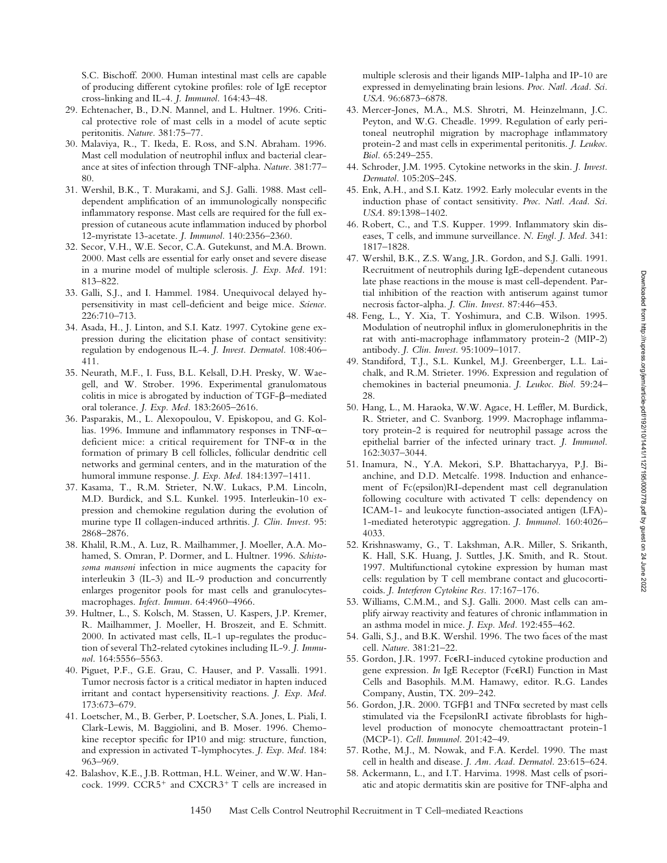S.C. Bischoff. 2000. Human intestinal mast cells are capable of producing different cytokine profiles: role of IgE receptor cross-linking and IL-4. *J. Immunol.* 164:43–48.

- 29. Echtenacher, B., D.N. Mannel, and L. Hultner. 1996. Critical protective role of mast cells in a model of acute septic peritonitis. *Nature.* 381:75–77.
- 30. Malaviya, R., T. Ikeda, E. Ross, and S.N. Abraham. 1996. Mast cell modulation of neutrophil influx and bacterial clearance at sites of infection through TNF-alpha. *Nature.* 381:77– 80.
- 31. Wershil, B.K., T. Murakami, and S.J. Galli. 1988. Mast celldependent amplification of an immunologically nonspecific inflammatory response. Mast cells are required for the full expression of cutaneous acute inflammation induced by phorbol 12-myristate 13-acetate. *J. Immunol.* 140:2356–2360.
- 32. Secor, V.H., W.E. Secor, C.A. Gutekunst, and M.A. Brown. 2000. Mast cells are essential for early onset and severe disease in a murine model of multiple sclerosis. *J. Exp. Med.* 191: 813–822.
- 33. Galli, S.J., and I. Hammel. 1984. Unequivocal delayed hypersensitivity in mast cell-deficient and beige mice. *Science.* 226:710–713.
- 34. Asada, H., J. Linton, and S.I. Katz. 1997. Cytokine gene expression during the elicitation phase of contact sensitivity: regulation by endogenous IL-4. *J. Invest. Dermatol.* 108:406– 411.
- 35. Neurath, M.F., I. Fuss, B.L. Kelsall, D.H. Presky, W. Waegell, and W. Strober. 1996. Experimental granulomatous colitis in mice is abrogated by induction of TGF-b–mediated oral tolerance. *J. Exp. Med.* 183:2605–2616.
- 36. Pasparakis, M., L. Alexopoulou, V. Episkopou, and G. Kollias. 1996. Immune and inflammatory responses in TNF- $\alpha$ – deficient mice: a critical requirement for TNF- $\alpha$  in the formation of primary B cell follicles, follicular dendritic cell networks and germinal centers, and in the maturation of the humoral immune response. *J. Exp. Med.* 184:1397–1411.
- 37. Kasama, T., R.M. Strieter, N.W. Lukacs, P.M. Lincoln, M.D. Burdick, and S.L. Kunkel. 1995. Interleukin-10 expression and chemokine regulation during the evolution of murine type II collagen-induced arthritis. *J. Clin. Invest.* 95: 2868–2876.
- 38. Khalil, R.M., A. Luz, R. Mailhammer, J. Moeller, A.A. Mohamed, S. Omran, P. Dormer, and L. Hultner. 1996. *Schistosoma mansoni* infection in mice augments the capacity for interleukin 3 (IL-3) and IL-9 production and concurrently enlarges progenitor pools for mast cells and granulocytesmacrophages. *Infect. Immun.* 64:4960–4966.
- 39. Hultner, L., S. Kolsch, M. Stassen, U. Kaspers, J.P. Kremer, R. Mailhammer, J. Moeller, H. Broszeit, and E. Schmitt. 2000. In activated mast cells, IL-1 up-regulates the production of several Th2-related cytokines including IL-9. *J. Immunol.* 164:5556–5563.
- 40. Piguet, P.F., G.E. Grau, C. Hauser, and P. Vassalli. 1991. Tumor necrosis factor is a critical mediator in hapten induced irritant and contact hypersensitivity reactions. *J. Exp. Med.* 173:673–679.
- 41. Loetscher, M., B. Gerber, P. Loetscher, S.A. Jones, L. Piali, I. Clark-Lewis, M. Baggiolini, and B. Moser. 1996. Chemokine receptor specific for IP10 and mig: structure, function, and expression in activated T-lymphocytes. *J. Exp. Med.* 184: 963–969.
- 42. Balashov, K.E., J.B. Rottman, H.L. Weiner, and W.W. Hancock. 1999.  $CCR5^+$  and  $CXCR3^+T$  cells are increased in

multiple sclerosis and their ligands MIP-1alpha and IP-10 are expressed in demyelinating brain lesions. *Proc. Natl. Acad. Sci. USA.* 96:6873–6878.

- 43. Mercer-Jones, M.A., M.S. Shrotri, M. Heinzelmann, J.C. Peyton, and W.G. Cheadle. 1999. Regulation of early peritoneal neutrophil migration by macrophage inflammatory protein-2 and mast cells in experimental peritonitis. *J. Leukoc. Biol.* 65:249–255.
- 44. Schroder, J.M. 1995. Cytokine networks in the skin. *J. Invest. Dermatol.* 105:20S–24S.
- 45. Enk, A.H., and S.I. Katz. 1992. Early molecular events in the induction phase of contact sensitivity. *Proc. Natl. Acad. Sci. USA.* 89:1398–1402.
- 46. Robert, C., and T.S. Kupper. 1999. Inflammatory skin diseases, T cells, and immune surveillance. *N. Engl. J. Med.* 341: 1817–1828.
- 47. Wershil, B.K., Z.S. Wang, J.R. Gordon, and S.J. Galli. 1991. Recruitment of neutrophils during IgE-dependent cutaneous late phase reactions in the mouse is mast cell-dependent. Partial inhibition of the reaction with antiserum against tumor necrosis factor-alpha. *J. Clin. Invest.* 87:446–453.
- 48. Feng, L., Y. Xia, T. Yoshimura, and C.B. Wilson. 1995. Modulation of neutrophil influx in glomerulonephritis in the rat with anti-macrophage inflammatory protein-2 (MIP-2) antibody. *J. Clin. Invest.* 95:1009–1017.
- 49. Standiford, T.J., S.L. Kunkel, M.J. Greenberger, L.L. Laichalk, and R.M. Strieter. 1996. Expression and regulation of chemokines in bacterial pneumonia. *J. Leukoc. Biol.* 59:24– 28.
- 50. Hang, L., M. Haraoka, W.W. Agace, H. Leffler, M. Burdick, R. Strieter, and C. Svanborg. 1999. Macrophage inflammatory protein-2 is required for neutrophil passage across the epithelial barrier of the infected urinary tract. *J. Immunol.* 162:3037–3044.
- 51. Inamura, N., Y.A. Mekori, S.P. Bhattacharyya, P.J. Bianchine, and D.D. Metcalfe. 1998. Induction and enhancement of Fc(epsilon)RI-dependent mast cell degranulation following coculture with activated T cells: dependency on ICAM-1- and leukocyte function-associated antigen (LFA)- 1-mediated heterotypic aggregation. *J. Immunol.* 160:4026– 4033.
- 52. Krishnaswamy, G., T. Lakshman, A.R. Miller, S. Srikanth, K. Hall, S.K. Huang, J. Suttles, J.K. Smith, and R. Stout. 1997. Multifunctional cytokine expression by human mast cells: regulation by T cell membrane contact and glucocorticoids. *J. Interferon Cytokine Res.* 17:167–176.
- 53. Williams, C.M.M., and S.J. Galli. 2000. Mast cells can amplify airway reactivity and features of chronic inflammation in an asthma model in mice. *J. Exp. Med.* 192:455–462.
- 54. Galli, S.J., and B.K. Wershil. 1996. The two faces of the mast cell. *Nature.* 381:21–22.
- 55. Gordon, J.R. 1997. FceRI-induced cytokine production and gene expression. *In* IgE Receptor (FceRI) Function in Mast Cells and Basophils. M.M. Hamawy, editor. R.G. Landes Company, Austin, TX. 209–242.
- 56. Gordon, J.R. 2000. TGFB1 and TNF $\alpha$  secreted by mast cells stimulated via the FcepsilonRI activate fibroblasts for highlevel production of monocyte chemoattractant protein-1 (MCP-1). *Cell. Immunol.* 201:42–49.
- 57. Rothe, M.J., M. Nowak, and F.A. Kerdel. 1990. The mast cell in health and disease. *J. Am. Acad. Dermatol.* 23:615–624.
- 58. Ackermann, L., and I.T. Harvima. 1998. Mast cells of psoriatic and atopic dermatitis skin are positive for TNF-alpha and